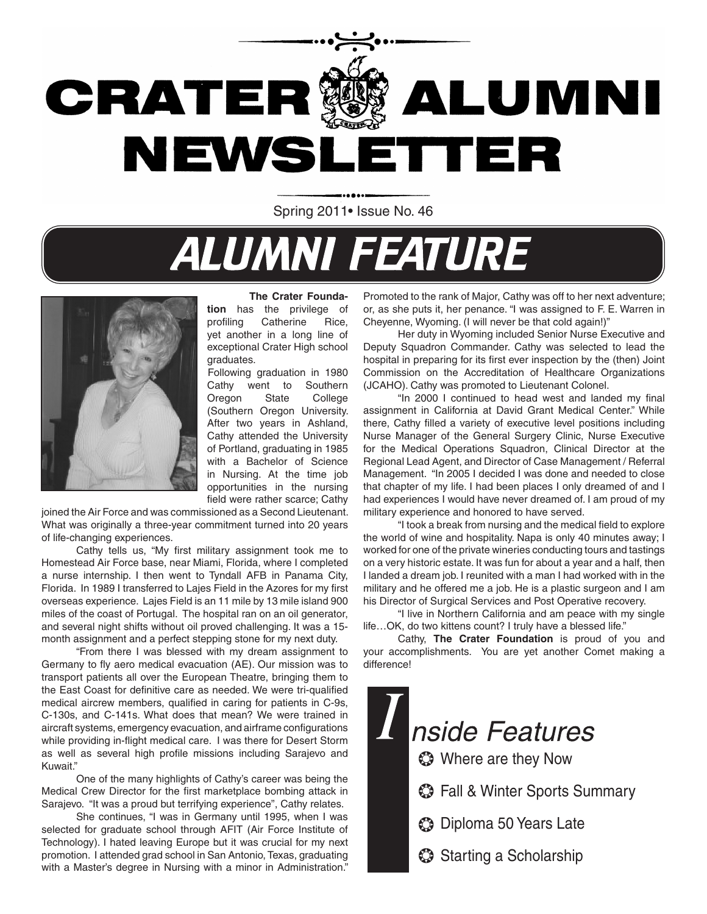

Spring 2011• Issue No. 46

# **ALUMNI FEATURE**



 **The Crater Foundation** has the privilege of profiling Catherine Rice, yet another in a long line of exceptional Crater High school graduates.

Following graduation in 1980 Cathy went to Southern Oregon State College (Southern Oregon University. After two years in Ashland, Cathy attended the University of Portland, graduating in 1985 with a Bachelor of Science in Nursing. At the time job opportunities in the nursing field were rather scarce; Cathy

joined the Air Force and was commissioned as a Second Lieutenant. What was originally a three-year commitment turned into 20 years of life-changing experiences.

Cathy tells us, "My first military assignment took me to Homestead Air Force base, near Miami, Florida, where I completed a nurse internship. I then went to Tyndall AFB in Panama City, Florida. In 1989 I transferred to Lajes Field in the Azores for my first overseas experience. Lajes Field is an 11 mile by 13 mile island 900 miles of the coast of Portugal. The hospital ran on an oil generator, and several night shifts without oil proved challenging. It was a 15 month assignment and a perfect stepping stone for my next duty.

"From there I was blessed with my dream assignment to Germany to fly aero medical evacuation (AE). Our mission was to transport patients all over the European Theatre, bringing them to the East Coast for definitive care as needed. We were tri-qualified medical aircrew members, qualified in caring for patients in C-9s, C-130s, and C-141s. What does that mean? We were trained in aircraft systems, emergency evacuation, and airframe configurations while providing in-flight medical care. I was there for Desert Storm as well as several high profile missions including Sarajevo and Kuwait."

One of the many highlights of Cathy's career was being the Medical Crew Director for the first marketplace bombing attack in Sarajevo. "It was a proud but terrifying experience", Cathy relates.

She continues, "I was in Germany until 1995, when I was selected for graduate school through AFIT (Air Force Institute of Technology). I hated leaving Europe but it was crucial for my next promotion. I attended grad school in San Antonio, Texas, graduating with a Master's degree in Nursing with a minor in Administration."

Promoted to the rank of Major, Cathy was off to her next adventure; or, as she puts it, her penance. "I was assigned to F. E. Warren in Cheyenne, Wyoming. (I will never be that cold again!)"

Her duty in Wyoming included Senior Nurse Executive and Deputy Squadron Commander. Cathy was selected to lead the hospital in preparing for its first ever inspection by the (then) Joint Commission on the Accreditation of Healthcare Organizations (JCAHO). Cathy was promoted to Lieutenant Colonel.

"In 2000 I continued to head west and landed my final assignment in California at David Grant Medical Center." While there, Cathy filled a variety of executive level positions including Nurse Manager of the General Surgery Clinic, Nurse Executive for the Medical Operations Squadron, Clinical Director at the Regional Lead Agent, and Director of Case Management / Referral Management. "In 2005 I decided I was done and needed to close that chapter of my life. I had been places I only dreamed of and I had experiences I would have never dreamed of. I am proud of my military experience and honored to have served.

"I took a break from nursing and the medical field to explore the world of wine and hospitality. Napa is only 40 minutes away; I worked for one of the private wineries conducting tours and tastings on a very historic estate. It was fun for about a year and a half, then I landed a dream job. I reunited with a man I had worked with in the military and he offered me a job. He is a plastic surgeon and I am his Director of Surgical Services and Post Operative recovery.

"I live in Northern California and am peace with my single life…OK, do two kittens count? I truly have a blessed life."

Cathy, **The Crater Foundation** is proud of you and your accomplishments. You are yet another Comet making a difference!

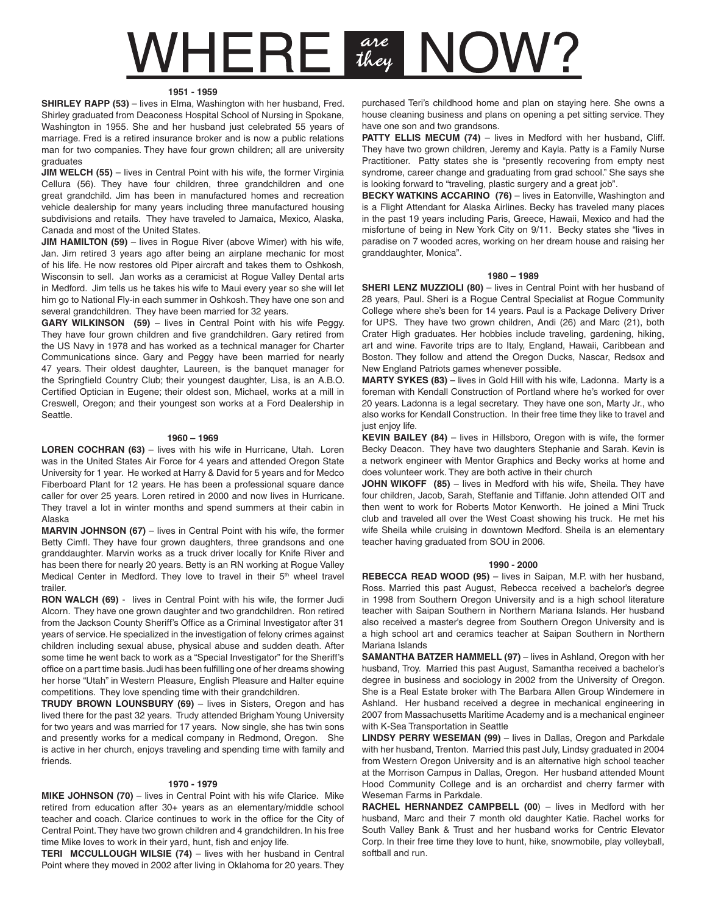### $\mathsf{WHERE}$  are  $\mathsf{HLE}$ OW?

#### **1951 - 1959**

**SHIRLEY RAPP (53)** – lives in Elma, Washington with her husband, Fred. Shirley graduated from Deaconess Hospital School of Nursing in Spokane, Washington in 1955. She and her husband just celebrated 55 years of marriage. Fred is a retired insurance broker and is now a public relations man for two companies. They have four grown children; all are university graduates

**JIM WELCH (55)** – lives in Central Point with his wife, the former Virginia Cellura (56). They have four children, three grandchildren and one great grandchild. Jim has been in manufactured homes and recreation vehicle dealership for many years including three manufactured housing subdivisions and retails. They have traveled to Jamaica, Mexico, Alaska, Canada and most of the United States.

**JIM HAMILTON (59)** – lives in Rogue River (above Wimer) with his wife, Jan. Jim retired 3 years ago after being an airplane mechanic for most of his life. He now restores old Piper aircraft and takes them to Oshkosh, Wisconsin to sell. Jan works as a ceramicist at Rogue Valley Dental arts in Medford. Jim tells us he takes his wife to Maui every year so she will let him go to National Fly-in each summer in Oshkosh. They have one son and several grandchildren. They have been married for 32 years.

**GARY WILKINSON (59)** – lives in Central Point with his wife Peggy. They have four grown children and five grandchildren. Gary retired from the US Navy in 1978 and has worked as a technical manager for Charter Communications since. Gary and Peggy have been married for nearly 47 years. Their oldest daughter, Laureen, is the banquet manager for the Springfield Country Club; their youngest daughter, Lisa, is an A.B.O. Certified Optician in Eugene; their oldest son, Michael, works at a mill in Creswell, Oregon; and their youngest son works at a Ford Dealership in Seattle.

#### **1960 – 1969**

**LOREN COCHRAN (63)** – lives with his wife in Hurricane, Utah. Loren was in the United States Air Force for 4 years and attended Oregon State University for 1 year. He worked at Harry & David for 5 years and for Medco Fiberboard Plant for 12 years. He has been a professional square dance caller for over 25 years. Loren retired in 2000 and now lives in Hurricane. They travel a lot in winter months and spend summers at their cabin in Alaska

**MARVIN JOHNSON (67)** – lives in Central Point with his wife, the former Betty Cimfl. They have four grown daughters, three grandsons and one granddaughter. Marvin works as a truck driver locally for Knife River and has been there for nearly 20 years. Betty is an RN working at Rogue Valley Medical Center in Medford. They love to travel in their 5<sup>th</sup> wheel travel trailer.

**RON WALCH (69)** - lives in Central Point with his wife, the former Judi Alcorn. They have one grown daughter and two grandchildren. Ron retired from the Jackson County Sheriff's Office as a Criminal Investigator after 31 years of service. He specialized in the investigation of felony crimes against children including sexual abuse, physical abuse and sudden death. After some time he went back to work as a "Special Investigator" for the Sheriff's office on a part time basis. Judi has been fulfilling one of her dreams showing her horse "Utah" in Western Pleasure, English Pleasure and Halter equine competitions. They love spending time with their grandchildren.

**TRUDY BROWN LOUNSBURY (69)** – lives in Sisters, Oregon and has lived there for the past 32 years. Trudy attended Brigham Young University for two years and was married for 17 years. Now single, she has twin sons and presently works for a medical company in Redmond, Oregon. She is active in her church, enjoys traveling and spending time with family and friends.

#### **1970 - 1979**

**MIKE JOHNSON (70)** – lives in Central Point with his wife Clarice. Mike retired from education after 30+ years as an elementary/middle school teacher and coach. Clarice continues to work in the office for the City of Central Point. They have two grown children and 4 grandchildren. In his free time Mike loves to work in their yard, hunt, fish and enjoy life.

**TERI MCCULLOUGH WILSIE (74)** – lives with her husband in Central Point where they moved in 2002 after living in Oklahoma for 20 years. They

purchased Teri's childhood home and plan on staying here. She owns a house cleaning business and plans on opening a pet sitting service. They have one son and two grandsons.

**PATTY ELLIS MECUM (74)** – lives in Medford with her husband, Cliff. They have two grown children, Jeremy and Kayla. Patty is a Family Nurse Practitioner. Patty states she is "presently recovering from empty nest syndrome, career change and graduating from grad school." She says she is looking forward to "traveling, plastic surgery and a great job".

**BECKY WATKINS ACCARINO (76)** – lives in Eatonville, Washington and is a Flight Attendant for Alaska Airlines. Becky has traveled many places in the past 19 years including Paris, Greece, Hawaii, Mexico and had the misfortune of being in New York City on 9/11. Becky states she "lives in paradise on 7 wooded acres, working on her dream house and raising her granddaughter, Monica".

#### **1980 – 1989**

**SHERI LENZ MUZZIOLI (80)** – lives in Central Point with her husband of 28 years, Paul. Sheri is a Rogue Central Specialist at Rogue Community College where she's been for 14 years. Paul is a Package Delivery Driver for UPS. They have two grown children, Andi (26) and Marc (21), both Crater High graduates. Her hobbies include traveling, gardening, hiking, art and wine. Favorite trips are to Italy, England, Hawaii, Caribbean and Boston. They follow and attend the Oregon Ducks, Nascar, Redsox and New England Patriots games whenever possible.

**MARTY SYKES (83)** – lives in Gold Hill with his wife, Ladonna. Marty is a foreman with Kendall Construction of Portland where he's worked for over 20 years. Ladonna is a legal secretary. They have one son, Marty Jr., who also works for Kendall Construction. In their free time they like to travel and just enjoy life.

**KEVIN BAILEY (84)** – lives in Hillsboro, Oregon with is wife, the former Becky Deacon. They have two daughters Stephanie and Sarah. Kevin is a network engineer with Mentor Graphics and Becky works at home and does volunteer work. They are both active in their church

**JOHN WIKOFF (85)** – lives in Medford with his wife, Sheila. They have four children, Jacob, Sarah, Steffanie and Tiffanie. John attended OIT and then went to work for Roberts Motor Kenworth. He joined a Mini Truck club and traveled all over the West Coast showing his truck. He met his wife Sheila while cruising in downtown Medford. Sheila is an elementary teacher having graduated from SOU in 2006.

#### **1990 - 2000**

**REBECCA READ WOOD (95)** – lives in Saipan, M.P. with her husband, Ross. Married this past August, Rebecca received a bachelor's degree in 1998 from Southern Oregon University and is a high school literature teacher with Saipan Southern in Northern Mariana Islands. Her husband also received a master's degree from Southern Oregon University and is a high school art and ceramics teacher at Saipan Southern in Northern Mariana Islands

**SAMANTHA BATZER HAMMELL (97)** – lives in Ashland, Oregon with her husband, Troy. Married this past August, Samantha received a bachelor's degree in business and sociology in 2002 from the University of Oregon. She is a Real Estate broker with The Barbara Allen Group Windemere in Ashland. Her husband received a degree in mechanical engineering in 2007 from Massachusetts Maritime Academy and is a mechanical engineer with K-Sea Transportation in Seattle

**LINDSY PERRY WESEMAN (99)** – lives in Dallas, Oregon and Parkdale with her husband, Trenton. Married this past July, Lindsy graduated in 2004 from Western Oregon University and is an alternative high school teacher at the Morrison Campus in Dallas, Oregon. Her husband attended Mount Hood Community College and is an orchardist and cherry farmer with Weseman Farms in Parkdale.

**RACHEL HERNANDEZ CAMPBELL (00)** – lives in Medford with her husband, Marc and their 7 month old daughter Katie. Rachel works for South Valley Bank & Trust and her husband works for Centric Elevator Corp. In their free time they love to hunt, hike, snowmobile, play volleyball, softball and run.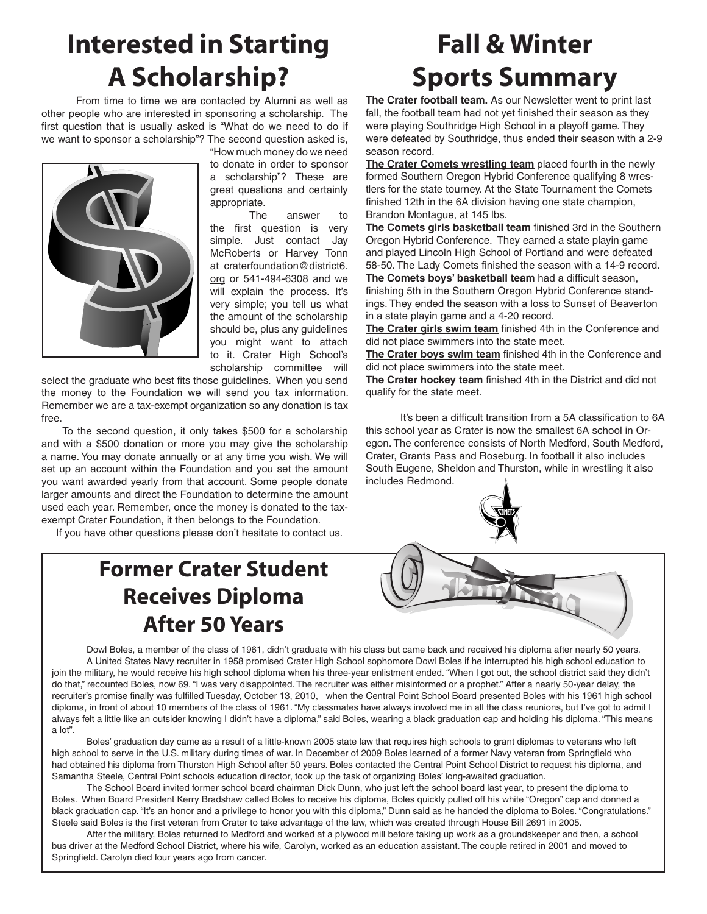# **Interested in Starting A Scholarship?**

From time to time we are contacted by Alumni as well as other people who are interested in sponsoring a scholarship. The first question that is usually asked is "What do we need to do if we want to sponsor a scholarship"? The second question asked is,



"How much money do we need to donate in order to sponsor a scholarship"? These are great questions and certainly appropriate.

 The answer to the first question is very simple. Just contact Jay McRoberts or Harvey Tonn at craterfoundation@district6. org or 541-494-6308 and we will explain the process. It's very simple; you tell us what the amount of the scholarship should be, plus any guidelines you might want to attach to it. Crater High School's scholarship committee will

select the graduate who best fits those guidelines. When you send the money to the Foundation we will send you tax information. Remember we are a tax-exempt organization so any donation is tax free.

 To the second question, it only takes \$500 for a scholarship and with a \$500 donation or more you may give the scholarship a name. You may donate annually or at any time you wish. We will set up an account within the Foundation and you set the amount you want awarded yearly from that account. Some people donate larger amounts and direct the Foundation to determine the amount used each year. Remember, once the money is donated to the taxexempt Crater Foundation, it then belongs to the Foundation.

If you have other questions please don't hesitate to contact us.

### **Former Crater Student Receives Diploma After 50 Years**

# **Fall & Winter Sports Summary**

**The Crater football team.** As our Newsletter went to print last fall, the football team had not yet finished their season as they were playing Southridge High School in a playoff game. They were defeated by Southridge, thus ended their season with a 2-9 season record.

**The Crater Comets wrestling team** placed fourth in the newly formed Southern Oregon Hybrid Conference qualifying 8 wrestlers for the state tourney. At the State Tournament the Comets finished 12th in the 6A division having one state champion, Brandon Montague, at 145 lbs.

**The Comets girls basketball team** finished 3rd in the Southern Oregon Hybrid Conference. They earned a state playin game and played Lincoln High School of Portland and were defeated 58-50. The Lady Comets finished the season with a 14-9 record. **The Comets boys' basketball team** had a difficult season, finishing 5th in the Southern Oregon Hybrid Conference standings. They ended the season with a loss to Sunset of Beaverton in a state playin game and a 4-20 record.

**The Crater girls swim team** finished 4th in the Conference and did not place swimmers into the state meet.

**The Crater boys swim team** finished 4th in the Conference and did not place swimmers into the state meet.

**The Crater hockey team** finished 4th in the District and did not qualify for the state meet.

It's been a difficult transition from a 5A classification to 6A this school year as Crater is now the smallest 6A school in Oregon. The conference consists of North Medford, South Medford, Crater, Grants Pass and Roseburg. In football it also includes South Eugene, Sheldon and Thurston, while in wrestling it also includes Redmond.





Dowl Boles, a member of the class of 1961, didn't graduate with his class but came back and received his diploma after nearly 50 years. A United States Navy recruiter in 1958 promised Crater High School sophomore Dowl Boles if he interrupted his high school education to join the military, he would receive his high school diploma when his three-year enlistment ended. "When I got out, the school district said they didn't do that," recounted Boles, now 69. "I was very disappointed. The recruiter was either misinformed or a prophet." After a nearly 50-year delay, the recruiter's promise finally was fulfilled Tuesday, October 13, 2010, when the Central Point School Board presented Boles with his 1961 high school diploma, in front of about 10 members of the class of 1961. "My classmates have always involved me in all the class reunions, but I've got to admit I always felt a little like an outsider knowing I didn't have a diploma," said Boles, wearing a black graduation cap and holding his diploma. "This means a lot".

Boles' graduation day came as a result of a little-known 2005 state law that requires high schools to grant diplomas to veterans who left high school to serve in the U.S. military during times of war. In December of 2009 Boles learned of a former Navy veteran from Springfield who had obtained his diploma from Thurston High School after 50 years. Boles contacted the Central Point School District to request his diploma, and Samantha Steele, Central Point schools education director, took up the task of organizing Boles' long-awaited graduation.

The School Board invited former school board chairman Dick Dunn, who just left the school board last year, to present the diploma to Boles. When Board President Kerry Bradshaw called Boles to receive his diploma, Boles quickly pulled off his white "Oregon" cap and donned a black graduation cap. "It's an honor and a privilege to honor you with this diploma," Dunn said as he handed the diploma to Boles. "Congratulations." Steele said Boles is the first veteran from Crater to take advantage of the law, which was created through House Bill 2691 in 2005.

After the military, Boles returned to Medford and worked at a plywood mill before taking up work as a groundskeeper and then, a school bus driver at the Medford School District, where his wife, Carolyn, worked as an education assistant. The couple retired in 2001 and moved to Springfield. Carolyn died four years ago from cancer.